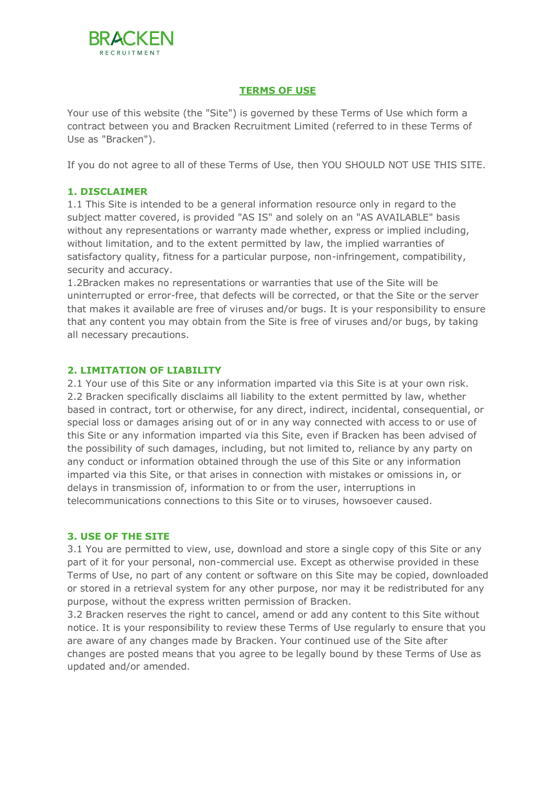

# **TERMS OF USE**

Your use of this website (the "Site") is governed by these Terms of Use which form a contract between you and Bracken Recruitment Limited (referred to in these Terms of Use as "Bracken").

If you do not agree to all of these Terms of Use, then YOU SHOULD NOT USE THIS SITE.

## **1. DISCLAIMER**

1.1 This Site is intended to be a general information resource only in regard to the subject matter covered, is provided "AS IS" and solely on an "AS AVAILABLE" basis without any representations or warranty made whether, express or implied including, without limitation, and to the extent permitted by law, the implied warranties of satisfactory quality, fitness for a particular purpose, non-infringement, compatibility, security and accuracy.

1.2Bracken makes no representations or warranties that use of the Site will be uninterrupted or error-free, that defects will be corrected, or that the Site or the server that makes it available are free of viruses and/or bugs. It is your responsibility to ensure that any content you may obtain from the Site is free of viruses and/or bugs, by taking all necessary precautions.

## **2. LIMITATION OF LIABILITY**

2.1 Your use of this Site or any information imparted via this Site is at your own risk. 2.2 Bracken specifically disclaims all liability to the extent permitted by law, whether based in contract, tort or otherwise, for any direct, indirect, incidental, consequential, or special loss or damages arising out of or in any way connected with access to or use of this Site or any information imparted via this Site, even if Bracken has been advised of the possibility of such damages, including, but not limited to, reliance by any party on any conduct or information obtained through the use of this Site or any information imparted via this Site, or that arises in connection with mistakes or omissions in, or delays in transmission of, information to or from the user, interruptions in telecommunications connections to this Site or to viruses, howsoever caused.

#### **3. USE OF THE SITE**

3.1 You are permitted to view, use, download and store a single copy of this Site or any part of it for your personal, non-commercial use. Except as otherwise provided in these Terms of Use, no part of any content or software on this Site may be copied, downloaded or stored in a retrieval system for any other purpose, nor may it be redistributed for any purpose, without the express written permission of Bracken.

3.2 Bracken reserves the right to cancel, amend or add any content to this Site without notice. It is your responsibility to review these Terms of Use regularly to ensure that you are aware of any changes made by Bracken. Your continued use of the Site after changes are posted means that you agree to be legally bound by these Terms of Use as updated and/or amended.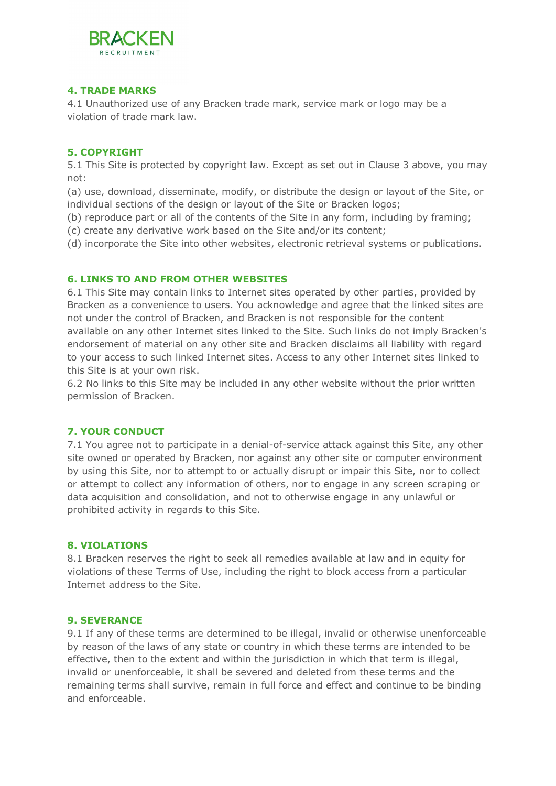

## **4. TRADE MARKS**

4.1 Unauthorized use of any Bracken trade mark, service mark or logo may be a violation of trade mark law.

## **5. COPYRIGHT**

5.1 This Site is protected by copyright law. Except as set out in Clause 3 above, you may not:

(a) use, download, disseminate, modify, or distribute the design or layout of the Site, or individual sections of the design or layout of the Site or Bracken logos;

(b) reproduce part or all of the contents of the Site in any form, including by framing;

(c) create any derivative work based on the Site and/or its content;

(d) incorporate the Site into other websites, electronic retrieval systems or publications.

## **6. LINKS TO AND FROM OTHER WEBSITES**

6.1 This Site may contain links to Internet sites operated by other parties, provided by Bracken as a convenience to users. You acknowledge and agree that the linked sites are not under the control of Bracken, and Bracken is not responsible for the content available on any other Internet sites linked to the Site. Such links do not imply Bracken's endorsement of material on any other site and Bracken disclaims all liability with regard to your access to such linked Internet sites. Access to any other Internet sites linked to this Site is at your own risk.

6.2 No links to this Site may be included in any other website without the prior written permission of Bracken.

# **7. YOUR CONDUCT**

7.1 You agree not to participate in a denial-of-service attack against this Site, any other site owned or operated by Bracken, nor against any other site or computer environment by using this Site, nor to attempt to or actually disrupt or impair this Site, nor to collect or attempt to collect any information of others, nor to engage in any screen scraping or data acquisition and consolidation, and not to otherwise engage in any unlawful or prohibited activity in regards to this Site.

#### **8. VIOLATIONS**

8.1 Bracken reserves the right to seek all remedies available at law and in equity for violations of these Terms of Use, including the right to block access from a particular Internet address to the Site.

#### **9. SEVERANCE**

9.1 If any of these terms are determined to be illegal, invalid or otherwise unenforceable by reason of the laws of any state or country in which these terms are intended to be effective, then to the extent and within the jurisdiction in which that term is illegal, invalid or unenforceable, it shall be severed and deleted from these terms and the remaining terms shall survive, remain in full force and effect and continue to be binding and enforceable.